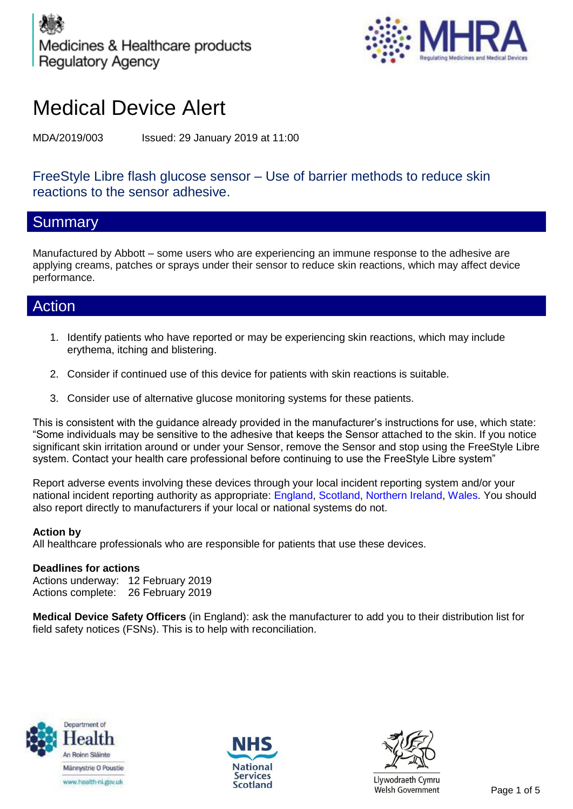



# Medical Device Alert

MDA/2019/003 Issued: 29 January 2019 at 11:00

## FreeStyle Libre flash glucose sensor – Use of barrier methods to reduce skin reactions to the sensor adhesive.

## **Summary**

Manufactured by Abbott – some users who are experiencing an immune response to the adhesive are applying creams, patches or sprays under their sensor to reduce skin reactions, which may affect device performance.

## Action

- 1. Identify patients who have reported or may be experiencing skin reactions, which may include erythema, itching and blistering.
- 2. Consider if continued use of this device for patients with skin reactions is suitable.
- 3. Consider use of alternative glucose monitoring systems for these patients.

This is consistent with the guidance already provided in the manufacturer's instructions for use, which state: "Some individuals may be sensitive to the adhesive that keeps the Sensor attached to the skin. If you notice significant skin irritation around or under your Sensor, remove the Sensor and stop using the FreeStyle Libre system. Contact your health care professional before continuing to use the FreeStyle Libre system"

Report adverse events involving these devices through your local incident reporting system and/or your national incident reporting authority as appropriate: England, Scotland, Northern Ireland, Wales. You should also report directly to manufacturers if your local or national systems do not.

#### **Action by**

All healthcare professionals who are responsible for patients that use these devices.

#### **Deadlines for actions**

Actions underway: 12 February 2019 Actions complete: 26 February 2019

**Medical Device Safety Officers** (in England): ask the manufacturer to add you to their distribution list for field safety notices (FSNs). This is to help with reconciliation.







Llywodraeth Cymru Scotland Elywouraeun Cymru<br>Welsh Government Page 1 of 5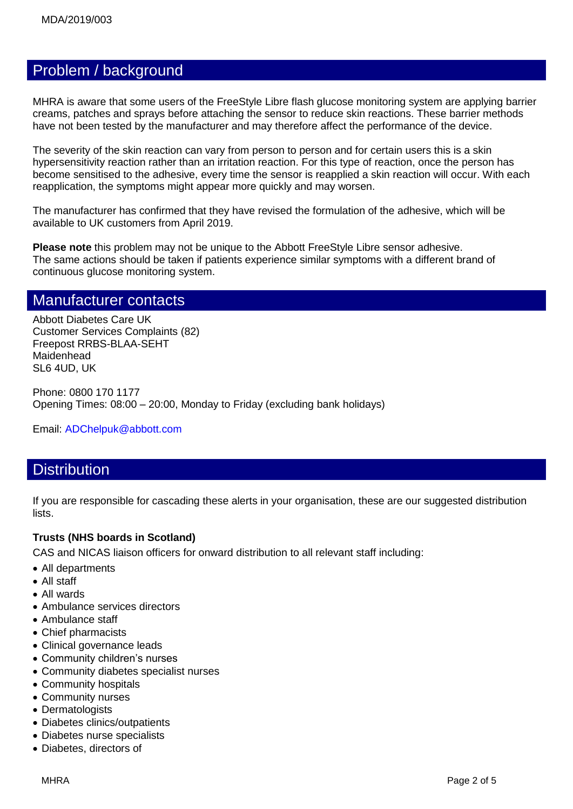## Problem / background

MHRA is aware that some users of the FreeStyle Libre flash glucose monitoring system are applying barrier creams, patches and sprays before attaching the sensor to reduce skin reactions. These barrier methods have not been tested by the manufacturer and may therefore affect the performance of the device.

The severity of the skin reaction can vary from person to person and for certain users this is a skin hypersensitivity reaction rather than an irritation reaction. For this type of reaction, once the person has become sensitised to the adhesive, every time the sensor is reapplied a skin reaction will occur. With each reapplication, the symptoms might appear more quickly and may worsen.

The manufacturer has confirmed that they have revised the formulation of the adhesive, which will be available to UK customers from April 2019.

**Please note** this problem may not be unique to the Abbott FreeStyle Libre sensor adhesive. The same actions should be taken if patients experience similar symptoms with a different brand of continuous glucose monitoring system.

## Manufacturer contacts

Abbott Diabetes Care UK Customer Services Complaints (82) Freepost RRBS-BLAA-SEHT Maidenhead SL6 4UD, UK

Phone: 0800 170 1177 Opening Times: 08:00 – 20:00, Monday to Friday (excluding bank holidays)

Email: [ADChelpuk@abbott.com](mailto:ADChelpuk@abbott.com)

## **Distribution**

If you are responsible for cascading these alerts in your organisation, these are our suggested distribution lists.

#### **Trusts (NHS boards in Scotland)**

CAS and NICAS liaison officers for onward distribution to all relevant staff including:

- All departments
- All staff
- All wards
- Ambulance services directors
- Ambulance staff
- Chief pharmacists
- Clinical governance leads
- Community children's nurses
- Community diabetes specialist nurses
- Community hospitals
- Community nurses
- Dermatologists
- Diabetes clinics/outpatients
- Diabetes nurse specialists
- Diabetes, directors of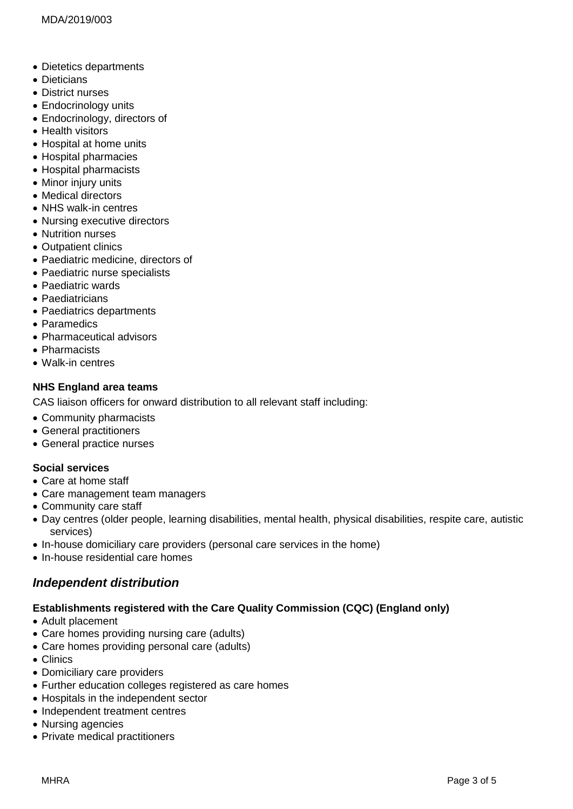- Dietetics departments
- Dieticians
- District nurses
- Endocrinology units
- Endocrinology, directors of
- Health visitors
- Hospital at home units
- Hospital pharmacies
- Hospital pharmacists
- Minor injury units
- Medical directors
- NHS walk-in centres
- Nursing executive directors
- Nutrition nurses
- Outpatient clinics
- Paediatric medicine, directors of
- Paediatric nurse specialists
- Paediatric wards
- Paediatricians
- Paediatrics departments
- Paramedics
- Pharmaceutical advisors
- Pharmacists
- Walk-in centres

#### **NHS England area teams**

CAS liaison officers for onward distribution to all relevant staff including:

- Community pharmacists
- General practitioners
- General practice nurses

#### **Social services**

- Care at home staff
- Care management team managers
- Community care staff
- Day centres (older people, learning disabilities, mental health, physical disabilities, respite care, autistic services)
- In-house domiciliary care providers (personal care services in the home)
- In-house residential care homes

## *Independent distribution*

#### **Establishments registered with the Care Quality Commission (CQC) (England only)**

- Adult placement
- Care homes providing nursing care (adults)
- Care homes providing personal care (adults)
- Clinics
- Domiciliary care providers
- Further education colleges registered as care homes
- Hospitals in the independent sector
- Independent treatment centres
- Nursing agencies
- Private medical practitioners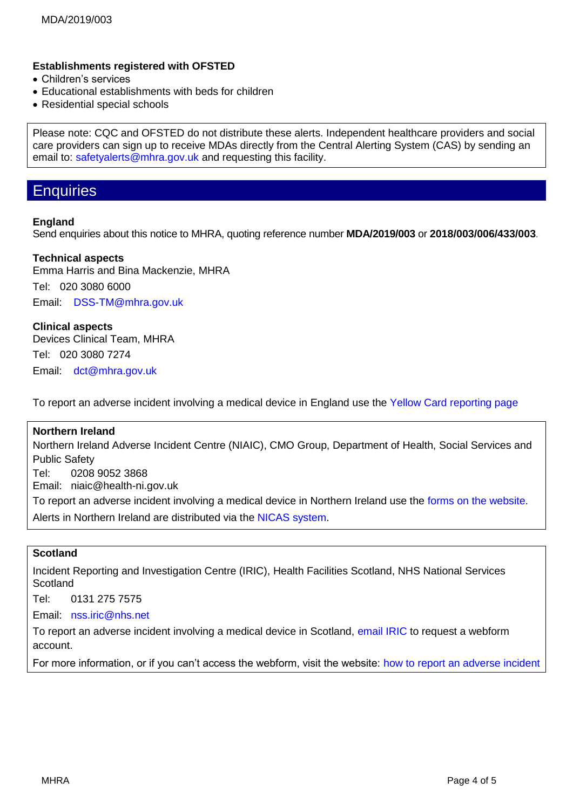### **Establishments registered with OFSTED**

- Children's services
- Educational establishments with beds for children
- Residential special schools

Please note: CQC and OFSTED do not distribute these alerts. Independent healthcare providers and social care providers can sign up to receive MDAs directly from the Central Alerting System (CAS) by sending an email to: [safetyalerts@mhra.gov.uk](mailto:safetyalerts@mhra.gov.uk) and requesting this facility.

## **Enquiries**

#### **England**

Send enquiries about this notice to MHRA, quoting reference number **MDA/2019/003** or **2018/003/006/433/003**.

#### **Technical aspects**

Emma Harris and Bina Mackenzie, MHRA Tel: 020 3080 6000

Email: [DSS-TM@mhra.gov.uk](mailto:DSS-TM@mhra.gov.uk)

**Clinical aspects** Devices Clinical Team, MHRA Tel: 020 3080 7274 Email: [dct@mhra.gov.uk](mailto:dct@mhra.gov.uk)

To report an adverse incident involving a medical device in England use the [Yellow Card reporting page](https://yellowcard.mhra.gov.uk/devices/?type=hcp)

#### **Northern Ireland**

Northern Ireland Adverse Incident Centre (NIAIC), CMO Group, Department of Health, Social Services and Public Safety Tel: 0208 9052 3868 Email: niaic@health-ni.gov.uk To report an adverse incident involving a medical device in Northern Ireland use the [forms on the](https://www.health-ni.gov.uk/articles/reporting-adverse-incident) website. Alerts in Northern Ireland are distributed via the [NICAS system.](https://applications.health-ni.gov.uk/NICAS/Public/Home.aspx)

#### **Scotland**

Incident Reporting and Investigation Centre (IRIC), Health Facilities Scotland, NHS National Services **Scotland** 

Tel: 0131 275 7575

Email: [nss.iric@nhs.net](mailto:nss.iric@nhs.net)

To report an adverse incident involving a medical device in Scotland, [email IRIC](mailto:nss.iric@nhs.net?subject=Reporting%20adverse%20incidents:%20webform%20registration%20request) to request a webform account.

For more information, or if you can't access the webform, visit the website: how to [report an adverse incident](http://www.hfs.scot.nhs.uk/services/incident-reporting-and-investigation-centre-iric-1/how-to-report-an-adverse-incident/)